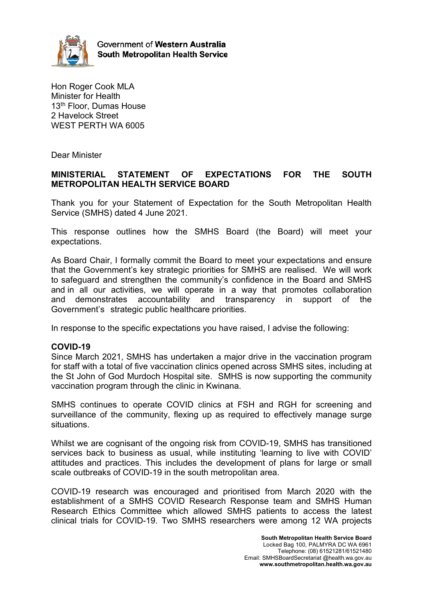

Government of Western Australia **South Metropolitan Health Service** 

Hon Roger Cook MLA Minister for Health 13<sup>th</sup> Floor, Dumas House 2 Havelock Street WEST PERTH WA 6005

Dear Minister

# **MINISTERIAL STATEMENT OF EXPECTATIONS FOR THE SOUTH METROPOLITAN HEALTH SERVICE BOARD**

Thank you for your Statement of Expectation for the South Metropolitan Health Service (SMHS) dated 4 June 2021.

This response outlines how the SMHS Board (the Board) will meet your expectations.

As Board Chair, I formally commit the Board to meet your expectations and ensure that the Government's key strategic priorities for SMHS are realised. We will work to safeguard and strengthen the community's confidence in the Board and SMHS and in all our activities, we will operate in a way that promotes collaboration and demonstrates accountability and transparency in support of the Government's strategic public healthcare priorities.

In response to the specific expectations you have raised, I advise the following:

## **COVID-19**

Since March 2021, SMHS has undertaken a major drive in the vaccination program for staff with a total of five vaccination clinics opened across SMHS sites, including at the St John of God Murdoch Hospital site. SMHS is now supporting the community vaccination program through the clinic in Kwinana.

SMHS continues to operate COVID clinics at FSH and RGH for screening and surveillance of the community, flexing up as required to effectively manage surge situations.

Whilst we are cognisant of the ongoing risk from COVID-19, SMHS has transitioned services back to business as usual, while instituting 'learning to live with COVID' attitudes and practices. This includes the development of plans for large or small scale outbreaks of COVID-19 in the south metropolitan area.

COVID-19 research was encouraged and prioritised from March 2020 with the establishment of a SMHS COVID Research Response team and SMHS Human Research Ethics Committee which allowed SMHS patients to access the latest clinical trials for COVID-19. Two SMHS researchers were among 12 WA projects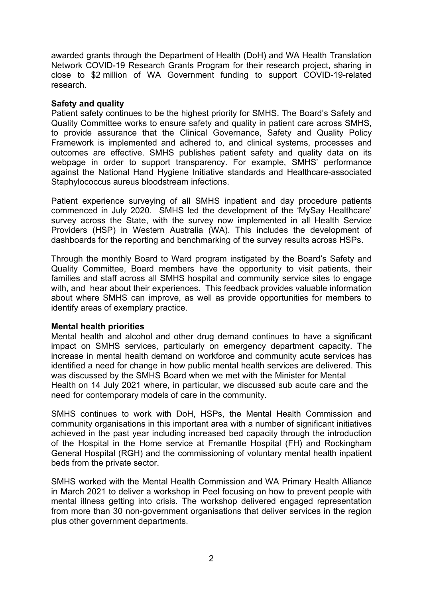awarded grants through the Department of Health (DoH) and WA Health Translation Network COVID-19 Research Grants Program for their research project, sharing in close to \$2 million of WA Government funding to support COVID-19-related research.

## **Safety and quality**

Patient safety continues to be the highest priority for SMHS. The Board's Safety and Quality Committee works to ensure safety and quality in patient care across SMHS, to provide assurance that the Clinical Governance, Safety and Quality Policy Framework is implemented and adhered to, and clinical systems, processes and outcomes are effective. SMHS publishes patient safety and quality data on its webpage in order to support transparency. For example, SMHS' performance against the National Hand Hygiene Initiative standards and Healthcare-associated Staphylococcus aureus bloodstream infections.

Patient experience surveying of all SMHS inpatient and day procedure patients commenced in July 2020. SMHS led the development of the 'MySay Healthcare' survey across the State, with the survey now implemented in all Health Service Providers (HSP) in Western Australia (WA). This includes the development of dashboards for the reporting and benchmarking of the survey results across HSPs.

Through the monthly Board to Ward program instigated by the Board's Safety and Quality Committee, Board members have the opportunity to visit patients, their families and staff across all SMHS hospital and community service sites to engage with, and hear about their experiences. This feedback provides valuable information about where SMHS can improve, as well as provide opportunities for members to identify areas of exemplary practice.

#### **Mental health priorities**

Mental health and alcohol and other drug demand continues to have a significant impact on SMHS services, particularly on emergency department capacity. The increase in mental health demand on workforce and community acute services has identified a need for change in how public mental health services are delivered. This was discussed by the SMHS Board when we met with the Minister for Mental Health on 14 July 2021 where, in particular, we discussed sub acute care and the need for contemporary models of care in the community.

SMHS continues to work with DoH, HSPs, the Mental Health Commission and community organisations in this important area with a number of significant initiatives achieved in the past year including increased bed capacity through the introduction of the Hospital in the Home service at Fremantle Hospital (FH) and Rockingham General Hospital (RGH) and the commissioning of voluntary mental health inpatient beds from the private sector.

SMHS worked with the Mental Health Commission and WA Primary Health Alliance in March 2021 to deliver a workshop in Peel focusing on how to prevent people with mental illness getting into crisis. The workshop delivered engaged representation from more than 30 non-government organisations that deliver services in the region plus other government departments.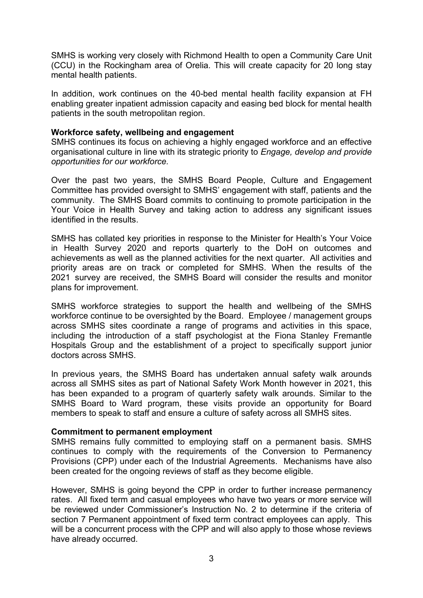SMHS is working very closely with Richmond Health to open a Community Care Unit (CCU) in the Rockingham area of Orelia. This will create capacity for 20 long stay mental health patients.

In addition, work continues on the 40-bed mental health facility expansion at FH enabling greater inpatient admission capacity and easing bed block for mental health patients in the south metropolitan region.

## **Workforce safety, wellbeing and engagement**

SMHS continues its focus on achieving a highly engaged workforce and an effective organisational culture in line with its strategic priority to *Engage, develop and provide opportunities for our workforce.*

Over the past two years, the SMHS Board People, Culture and Engagement Committee has provided oversight to SMHS' engagement with staff, patients and the community. The SMHS Board commits to continuing to promote participation in the Your Voice in Health Survey and taking action to address any significant issues identified in the results.

SMHS has collated key priorities in response to the Minister for Health's Your Voice in Health Survey 2020 and reports quarterly to the DoH on outcomes and achievements as well as the planned activities for the next quarter. All activities and priority areas are on track or completed for SMHS. When the results of the 2021 survey are received, the SMHS Board will consider the results and monitor plans for improvement.

SMHS workforce strategies to support the health and wellbeing of the SMHS workforce continue to be oversighted by the Board. Employee / management groups across SMHS sites coordinate a range of programs and activities in this space, including the introduction of a staff psychologist at the Fiona Stanley Fremantle Hospitals Group and the establishment of a project to specifically support junior doctors across SMHS.

In previous years, the SMHS Board has undertaken annual safety walk arounds across all SMHS sites as part of National Safety Work Month however in 2021, this has been expanded to a program of quarterly safety walk arounds. Similar to the SMHS Board to Ward program, these visits provide an opportunity for Board members to speak to staff and ensure a culture of safety across all SMHS sites.

#### **Commitment to permanent employment**

SMHS remains fully committed to employing staff on a permanent basis. SMHS continues to comply with the requirements of the Conversion to Permanency Provisions (CPP) under each of the Industrial Agreements. Mechanisms have also been created for the ongoing reviews of staff as they become eligible.

However, SMHS is going beyond the CPP in order to further increase permanency rates. All fixed term and casual employees who have two years or more service will be reviewed under Commissioner's Instruction No. 2 to determine if the criteria of section 7 Permanent appointment of fixed term contract employees can apply. This will be a concurrent process with the CPP and will also apply to those whose reviews have already occurred.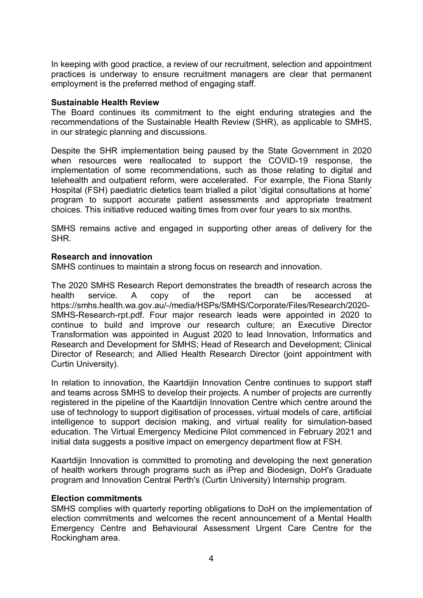In keeping with good practice, a review of our recruitment, selection and appointment practices is underway to ensure recruitment managers are clear that permanent employment is the preferred method of engaging staff.

## **Sustainable Health Review**

The Board continues its commitment to the eight enduring strategies and the recommendations of the Sustainable Health Review (SHR), as applicable to SMHS, in our strategic planning and discussions.

Despite the SHR implementation being paused by the State Government in 2020 when resources were reallocated to support the COVID-19 response, the implementation of some recommendations, such as those relating to digital and telehealth and outpatient reform, were accelerated. For example, the Fiona Stanly Hospital (FSH) paediatric dietetics team trialled a pilot 'digital consultations at home' program to support accurate patient assessments and appropriate treatment choices. This initiative reduced waiting times from over four years to six months.

SMHS remains active and engaged in supporting other areas of delivery for the SHR.

## **Research and innovation**

SMHS continues to maintain a strong focus on research and innovation.

The 2020 SMHS Research Report demonstrates the breadth of research across the health service. A copy of the report can be accessed at https://smhs.health.wa.gov.au/-/media/HSPs/SMHS/Corporate/Files/Research/2020- SMHS-Research-rpt.pdf. Four major research leads were appointed in 2020 to continue to build and improve our research culture; an Executive Director Transformation was appointed in August 2020 to lead Innovation, Informatics and Research and Development for SMHS; Head of Research and Development; Clinical Director of Research; and Allied Health Research Director (joint appointment with Curtin University).

In relation to innovation, the Kaartdijin Innovation Centre continues to support staff and teams across SMHS to develop their projects. A number of projects are currently registered in the pipeline of the Kaartdijin Innovation Centre which centre around the use of technology to support digitisation of processes, virtual models of care, artificial intelligence to support decision making, and virtual reality for simulation-based education. The Virtual Emergency Medicine Pilot commenced in February 2021 and initial data suggests a positive impact on emergency department flow at FSH.

Kaartdijin Innovation is committed to promoting and developing the next generation of health workers through programs such as iPrep and Biodesign, DoH's Graduate program and Innovation Central Perth's (Curtin University) Internship program.

#### **Election commitments**

SMHS complies with quarterly reporting obligations to DoH on the implementation of election commitments and welcomes the recent announcement of a Mental Health Emergency Centre and Behavioural Assessment Urgent Care Centre for the Rockingham area.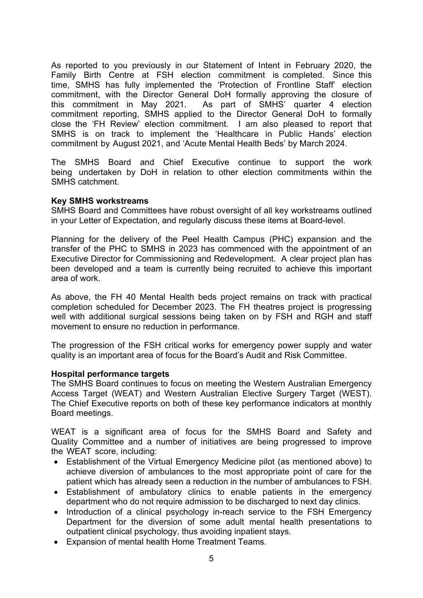As reported to you previously in our Statement of Intent in February 2020, the Family Birth Centre at FSH election commitment is completed. Since this time, SMHS has fully implemented the 'Protection of Frontline Staff' election commitment, with the Director General DoH formally approving the closure of this commitment in May 2021. As part of SMHS' quarter 4 election As part of SMHS' quarter 4 election commitment reporting, SMHS applied to the Director General DoH to formally close the 'FH Review' election commitment. I am also pleased to report that SMHS is on track to implement the 'Healthcare in Public Hands' election commitment by August 2021, and 'Acute Mental Health Beds' by March 2024.

The SMHS Board and Chief Executive continue to support the work being undertaken by DoH in relation to other election commitments within the SMHS catchment.

#### **Key SMHS workstreams**

SMHS Board and Committees have robust oversight of all key workstreams outlined in your Letter of Expectation, and regularly discuss these items at Board-level.

Planning for the delivery of the Peel Health Campus (PHC) expansion and the transfer of the PHC to SMHS in 2023 has commenced with the appointment of an Executive Director for Commissioning and Redevelopment. A clear project plan has been developed and a team is currently being recruited to achieve this important area of work.

As above, the FH 40 Mental Health beds project remains on track with practical completion scheduled for December 2023. The FH theatres project is progressing well with additional surgical sessions being taken on by FSH and RGH and staff movement to ensure no reduction in performance.

The progression of the FSH critical works for emergency power supply and water quality is an important area of focus for the Board's Audit and Risk Committee.

#### **Hospital performance targets**

The SMHS Board continues to focus on meeting the Western Australian Emergency Access Target (WEAT) and Western Australian Elective Surgery Target (WEST). The Chief Executive reports on both of these key performance indicators at monthly Board meetings.

WEAT is a significant area of focus for the SMHS Board and Safety and Quality Committee and a number of initiatives are being progressed to improve the WEAT score, including:

- Establishment of the Virtual Emergency Medicine pilot (as mentioned above) to achieve diversion of ambulances to the most appropriate point of care for the patient which has already seen a reduction in the number of ambulances to FSH.
- Establishment of ambulatory clinics to enable patients in the emergency department who do not require admission to be discharged to next day clinics.
- Introduction of a clinical psychology in-reach service to the FSH Emergency Department for the diversion of some adult mental health presentations to outpatient clinical psychology, thus avoiding inpatient stays.
- Expansion of mental health Home Treatment Teams.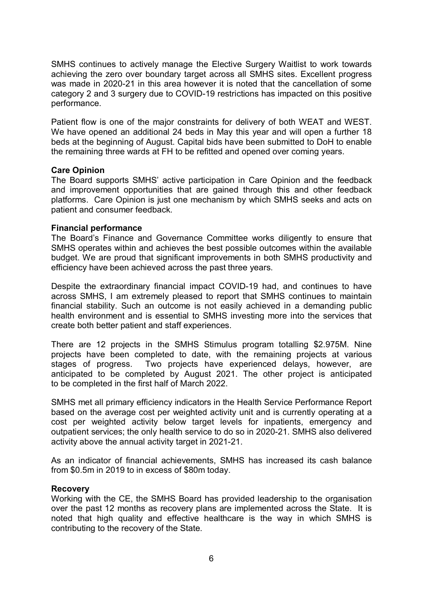SMHS continues to actively manage the Elective Surgery Waitlist to work towards achieving the zero over boundary target across all SMHS sites. Excellent progress was made in 2020-21 in this area however it is noted that the cancellation of some category 2 and 3 surgery due to COVID-19 restrictions has impacted on this positive performance.

Patient flow is one of the major constraints for delivery of both WEAT and WEST. We have opened an additional 24 beds in May this year and will open a further 18 beds at the beginning of August. Capital bids have been submitted to DoH to enable the remaining three wards at FH to be refitted and opened over coming years.

## **Care Opinion**

The Board supports SMHS' active participation in Care Opinion and the feedback and improvement opportunities that are gained through this and other feedback platforms. Care Opinion is just one mechanism by which SMHS seeks and acts on patient and consumer feedback.

## **Financial performance**

The Board's Finance and Governance Committee works diligently to ensure that SMHS operates within and achieves the best possible outcomes within the available budget. We are proud that significant improvements in both SMHS productivity and efficiency have been achieved across the past three years.

Despite the extraordinary financial impact COVID-19 had, and continues to have across SMHS, I am extremely pleased to report that SMHS continues to maintain financial stability. Such an outcome is not easily achieved in a demanding public health environment and is essential to SMHS investing more into the services that create both better patient and staff experiences.

There are 12 projects in the SMHS Stimulus program totalling \$2.975M. Nine projects have been completed to date, with the remaining projects at various stages of progress. Two projects have experienced delays, however, are anticipated to be completed by August 2021. The other project is anticipated to be completed in the first half of March 2022.

SMHS met all primary efficiency indicators in the Health Service Performance Report based on the average cost per weighted activity unit and is currently operating at a cost per weighted activity below target levels for inpatients, emergency and outpatient services; the only health service to do so in 2020-21. SMHS also delivered activity above the annual activity target in 2021-21.

As an indicator of financial achievements, SMHS has increased its cash balance from \$0.5m in 2019 to in excess of \$80m today.

#### **Recovery**

Working with the CE, the SMHS Board has provided leadership to the organisation over the past 12 months as recovery plans are implemented across the State. It is noted that high quality and effective healthcare is the way in which SMHS is contributing to the recovery of the State.